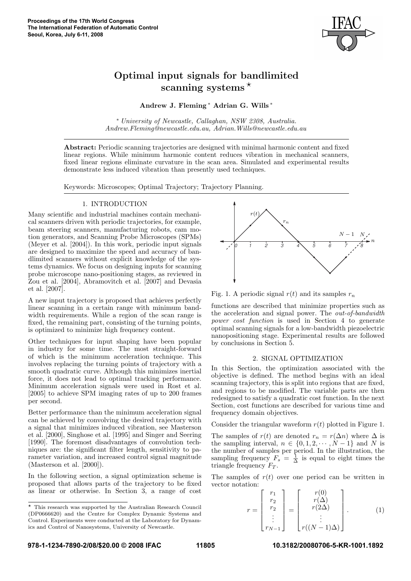

# Optimal input signals for bandlimited scanning systems ⋆

Andrew J. Fleming <sup>∗</sup> Adrian G. Wills ∗

<sup>∗</sup> University of Newcastle, Callaghan, NSW 2308, Australia. Andrew.Fleming@newcastle.edu.au, Adrian.Wills@newcastle.edu.au

Abstract: Periodic scanning trajectories are designed with minimal harmonic content and fixed linear regions. While minimum harmonic content reduces vibration in mechanical scanners, fixed linear regions eliminate curvature in the scan area. Simulated and experimental results demonstrate less induced vibration than presently used techniques.

Keywords: Microscopes; Optimal Trajectory; Trajectory Planning.

# 1. INTRODUCTION

Many scientific and industrial machines contain mechanical scanners driven with periodic trajectories, for example, beam steering scanners, manufacturing robots, cam motion generators, and Scanning Probe Microscopes (SPMs) (Meyer et al. [2004]). In this work, periodic input signals are designed to maximize the speed and accuracy of bandlimited scanners without explicit knowledge of the systems dynamics. We focus on designing inputs for scanning probe microscope nano-positioning stages, as reviewed in Zou et al. [2004], Abramovitch et al. [2007] and Devasia et al. [2007].

A new input trajectory is proposed that achieves perfectly linear scanning in a certain range with minimum bandwidth requirements. While a region of the scan range is fixed, the remaining part, consisting of the turning points, is optimized to minimize high frequency content.

Other techniques for input shaping have been popular in industry for some time. The most straight-forward of which is the minimum acceleration technique. This involves replacing the turning points of trajectory with a smooth quadratic curve. Although this minimizes inertial force, it does not lead to optimal tracking performance. Minimum acceleration signals were used in Rost et al. [2005] to achieve SPM imaging rates of up to 200 frames per second.

Better performance than the minimum acceleration signal can be achieved by convolving the desired trajectory with a signal that minimizes induced vibration, see Masterson et al. [2000], Singhose et al. [1995] and Singer and Seering [1990]. The foremost disadvantages of convolution techniques are: the significant filter length, sensitivity to parameter variation, and increased control signal magnitude (Masterson et al. [2000]).

In the following section, a signal optimization scheme is proposed that allows parts of the trajectory to be fixed as linear or otherwise. In Section 3, a range of cost



Fig. 1. A periodic signal  $r(t)$  and its samples  $r_n$ 

functions are described that minimize properties such as the acceleration and signal power. The out-of-bandwidth power cost function is used in Section 4 to generate optimal scanning signals for a low-bandwidth piezoelectric nanopositioning stage. Experimental results are followed by conclusions in Section 5.

# 2. SIGNAL OPTIMIZATION

In this Section, the optimization associated with the objective is defined. The method begins with an ideal scanning trajectory, this is split into regions that are fixed, and regions to be modified. The variable parts are then redesigned to satisfy a quadratic cost function. In the next Section, cost functions are described for various time and frequency domain objectives.

Consider the triangular waveform  $r(t)$  plotted in Figure 1.

The samples of  $r(t)$  are denoted  $r_n = r(\Delta n)$  where  $\Delta$  is the sampling interval,  $n \in \{0, 1, 2, \cdots, N-1\}$  and N is the number of samples per period. In the illustration, the sampling frequency  $F_s = \frac{1}{\Delta}$  is equal to eight times the triangle frequency  $F_T$ .

The samples of  $r(t)$  over one period can be written in vector notation:

$$
r = \begin{bmatrix} r_1 \\ r_2 \\ r_2 \\ \vdots \\ r_{N-1} \end{bmatrix} = \begin{bmatrix} r(0) \\ r(\Delta) \\ r(2\Delta) \\ \vdots \\ r((N-1)\Delta) \end{bmatrix} .
$$
 (1)

 $^\star$  This research was supported by the Australian Research Council (DP0666620) and the Centre for Complex Dynamic Systems and Control. Experiments were conducted at the Laboratory for Dynamics and Control of Nanosystems, University of Newcastle.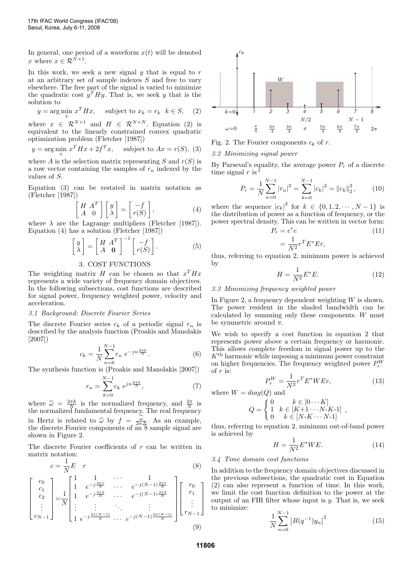In general, one period of a waveform  $x(t)$  will be denoted x where  $x \in \mathcal{R}^{\tilde{N} \times 1}$ .

In this work, we seek a new signal  $y$  that is equal to  $r$ at an arbitrary set of sample indexes S and free to vary elsewhere. The free part of the signal is varied to minimize the quadratic cost  $y^T H y$ . That is, we seek y that is the solution to

$$
y = \arg\min_{x} x^{T} H x, \quad \text{subject to } x_{k} = r_{k} \quad k \in S, \quad (2)
$$

where  $x \in \mathcal{R}^{N \times 1}$  and  $H \in \mathcal{R}^{N \times N}$ . Equation (2) is equivalent to the linearly constrained convex quadratic optimization problem (Fletcher [1987])

$$
y = \arg\min_{x} x^{T} H x + 2f^{T} x, \text{ subject to } Ax = r(S), (3)
$$

where A is the selection matrix representing S and  $r(S)$  is a row vector containing the samples of  $r_n$  indexed by the values of S.

Equation (3) can be restated in matrix notation as (Fletcher [1987])

$$
\begin{bmatrix} H & A^T \\ A & 0 \end{bmatrix} \begin{bmatrix} y \\ \lambda \end{bmatrix} = \begin{bmatrix} -f \\ r(S) \end{bmatrix}, \tag{4}
$$

where  $\lambda$  are the Lagrange multipliers (Fletcher [1987]). Equation (4) has a solution (Fletcher [1987])

$$
\begin{bmatrix} y \\ \lambda \end{bmatrix} = \begin{bmatrix} H & A^T \\ A & \mathbf{0} \end{bmatrix}^{-1} \begin{bmatrix} -f \\ r(S) \end{bmatrix}.
$$
 (5)

# 3. COST FUNCTIONS

The weighting matrix H can be chosen so that  $x^T H x$ represents a wide variety of frequency domain objectives. In the following subsections, cost functions are described for signal power, frequency weighted power, velocity and acceleration.

### 3.1 Background: Discrete Fourier Series

The discrete Fourier series  $c_k$  of a periodic signal  $r_n$  is described by the analysis function (Proakis and Manolakis [2007])

$$
c_k = \frac{1}{N} \sum_{n=0}^{N-1} r_n e^{-jn\frac{2\pi k}{N}}.
$$
 (6)

The synthesis function is (Proakis and Manolakis [2007])

$$
r_n = \sum_{k=0}^{N-1} c_k e^{jn\frac{2\pi k}{N}},\tag{7}
$$

where  $\hat{\omega} = \frac{2\pi k}{N}$  is the normalized frequency, and  $\frac{2\pi}{N}$  is<br>the normalized fundamental frequency. The real frequency the normalized fundamental frequency. The real frequency in Hertz is related to  $\hat{\omega}$  by  $f = \frac{\omega}{2\pi\Delta}$ . As an example,<br>the discrete Fourier components of an 8 sample signal are the discrete Fourier components of an  $\overline{8}$  sample signal are shown in Figure 2.

The discrete Fourier coefficients of r can be written in matrix notation:

$$
c = \frac{1}{N}E \quad r \tag{8}
$$

$$
\begin{bmatrix} c_0 \\ c_1 \\ c_2 \\ \vdots \\ c_{N-1} \end{bmatrix} = \frac{1}{N} \begin{bmatrix} 1 & 1 & \cdots & 1 \\ 1 & e^{-j\frac{2\pi 1}{N}} & \cdots & e^{-j(N-1)\frac{2\pi 1}{N}} \\ 1 & e^{-j\frac{2\pi 2}{N}} & \cdots & e^{-j(N-1)\frac{2\pi 2}{N}} \\ \vdots & \vdots & \ddots & \vdots \\ 1 & e^{-j\frac{2\pi (N-1)}{N}} & \cdots & e^{-j(N-1)\frac{2\pi (N-1)}{N}} \end{bmatrix} \begin{bmatrix} r_0 \\ r_1 \\ \vdots \\ r_{N-1} \end{bmatrix}
$$
(9)



Fig. 2. The Fourier components  $c_k$  of r.

3.2 Minimizing signal power

By Parseval's equality, the average power  $P_r$  of a discrete time signal  $r$  is  $\frac{1}{r}$ 

$$
P_r = \frac{1}{N} \sum_{n=0}^{N-1} |r_n|^2 = \sum_{k=0}^{N-1} |c_k|^2 = ||c_k||_2^2, \qquad (10)
$$

where the sequence  $|c_k|^2$  for  $k \in \{0, 1, 2, \cdots, N-1\}$  is the distribution of power as a function of frequency, or the power spectral density. This can be written in vector form:

$$
P_r = c^*c \tag{11}
$$

$$
=\frac{1}{N^2}r^T E^* E r,
$$

thus, referring to equation 2, minimum power is achieved by

$$
H = \frac{1}{N^2} E^* E. \tag{12}
$$

3.3 Minimizing frequency weighted power

In Figure 2, a frequency dependent weighting  $W$  is shown. The power resident in the shaded bandwidth can be calculated by summing only these components. W must be symmetric around  $\pi$ .

We wish to specify a cost function in equation 2 that represents power above a certain frequency or harmonic. This allows complete freedom in signal power up to the  $K<sup>th</sup>$  harmonic while imposing a minimum power constraint on higher frequencies. The frequency weighted power  $P_r^W$ of  $r$  is:

$$
P_r^W = \frac{1}{N^2} r^T E^* W E r,\tag{13}
$$

where  $W = diag(Q)$  and

$$
Q = \begin{cases} 0 & k \in [0 \cdots K] \\ 1 & k \in [K+1 \cdots N-K-1] \\ 0 & k \in [N-K \cdots N-1] \end{cases},
$$

thus, referring to equation 2, minimum out-of-band power is achieved by

$$
H = \frac{1}{N^2} E^* W E. \tag{14}
$$

## 3.4 Time domain cost functions

In addition to the frequency domain objectives discussed in the previous subsections, the quadratic cost in Equation (2) can also represent a function of time. In this work, we limit the cost function definition to the power at the output of an FIR filter whose input is  $y$ . That is, we seek to minimize:

$$
\frac{1}{N} \sum_{n=0}^{N-1} |B(q^{-1})y_n|^2
$$
\n(15)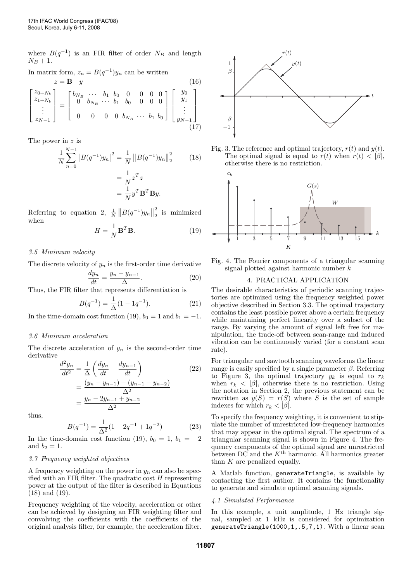where  $B(q^{-1})$  is an FIR filter of order  $N_B$  and length  $N_B + 1.$ 

In matrix form,  $z_n = B(q^{-1})y_n$  can be written

$$
z = \mathbf{B} \quad y \tag{16}
$$
\n
$$
\begin{bmatrix} z_{0+N_b} \\ z_{1+N_b} \\ \vdots \\ z_{N-1} \end{bmatrix} = \begin{bmatrix} b_{N_B} & \cdots & b_1 & b_0 & 0 & 0 & 0 & 0 \\ 0 & b_{N_B} & \cdots & b_1 & b_0 & 0 & 0 & 0 \\ 0 & 0 & 0 & 0 & b_{N_B} & \cdots & b_1 & b_0 \end{bmatrix} \begin{bmatrix} y_0 \\ y_1 \\ \vdots \\ y_{N-1} \end{bmatrix}
$$
\n
$$
(17)
$$

The power in z is

$$
\frac{1}{N} \sum_{n=0}^{N-1} |B(q^{-1})y_n|^2 = \frac{1}{N} ||B(q^{-1})y_n||_2^2
$$
(18)  
=  $\frac{1}{N} z^T z$   
=  $\frac{1}{N} y^T \mathbf{B}^T \mathbf{B} y$ .

Referring to equation 2,  $\frac{1}{N} ||B(q^{-1})y_n||_2^2$  $\frac{2}{2}$  is minimized when

$$
H = \frac{1}{N} \mathbf{B}^T \mathbf{B}.
$$
 (19)

# 3.5 Minimum velocity

The discrete velocity of  $y_n$  is the first-order time derivative

$$
\frac{dy_n}{dt} = \frac{y_n - y_{n-1}}{\Delta}.\tag{20}
$$

Thus, the FIR filter that represents differentiation is

$$
B(q^{-1}) = \frac{1}{\Delta}(1 - 1q^{-1}).
$$
\n(21)

In the time-domain cost function (19),  $b_0 = 1$  and  $b_1 = -1$ .

#### 3.6 Minimum acceleration

The discrete acceleration of  $y_n$  is the second-order time derivative

$$
\frac{d^2 y_n}{dt^2} = \frac{1}{\Delta} \left( \frac{dy_n}{dt} - \frac{dy_{n-1}}{dt} \right)
$$
\n
$$
= \frac{(y_n - y_{n-1}) - (y_{n-1} - y_{n-2})}{\Delta^2}
$$
\n
$$
= \frac{y_n - 2y_{n-1} + y_{n-2}}{\Delta^2}
$$
\n(22)

thus,

$$
B(q^{-1}) = \frac{1}{\Delta^2} (1 - 2q^{-1} + 1q^{-2})
$$
 (23)

In the time-domain cost function (19),  $b_0 = 1$ ,  $b_1 = -2$ and  $b_2 = 1$ .

## 3.7 Frequency weighted objectives

A frequency weighting on the power in  $y_n$  can also be specified with an FIR filter. The quadratic cost  $H$  representing power at the output of the filter is described in Equations (18) and (19).

Frequency weighting of the velocity, acceleration or other can be achieved by designing an FIR weighting filter and convolving the coefficients with the coefficients of the original analysis filter, for example, the acceleration filter.



Fig. 3. The reference and optimal trajectory,  $r(t)$  and  $y(t)$ . The optimal signal is equal to  $r(t)$  when  $r(t) < |\beta|$ , otherwise there is no restriction.



Fig. 4. The Fourier components of a triangular scanning signal plotted against harmonic number k

#### 4. PRACTICAL APPLICATION

The desirable characteristics of periodic scanning trajectories are optimized using the frequency weighted power objective described in Section 3.3. The optimal trajectory contains the least possible power above a certain frequency while maintaining perfect linearity over a subset of the range. By varying the amount of signal left free for manipulation, the trade-off between scan-range and induced vibration can be continuously varied (for a constant scan rate).

For triangular and sawtooth scanning waveforms the linear range is easily specified by a single parameter  $\beta$ . Referring to Figure 3, the optimal trajectory  $y_k$  is equal to  $r_k$ when  $r_k < |\beta|$ , otherwise there is no restriction. Using the notation in Section 2, the previous statement can be rewritten as  $y(S) = r(S)$  where S is the set of sample indexes for which  $r_k < |\beta|$ .

To specify the frequency weighting, it is convenient to stipulate the number of unrestricted low-frequency harmonics that may appear in the optimal signal. The spectrum of a triangular scanning signal is shown in Figure 4. The frequency components of the optimal signal are unrestricted between DC and the  $K^{\text{th}}$  harmonic. All harmonics greater than  $K$  are penalized equally.

A Matlab function, generateTriangle, is available by contacting the first author. It contains the functionality to generate and simulate optimal scanning signals.

## 4.1 Simulated Performance

In this example, a unit amplitude, 1 Hz triangle signal, sampled at 1 kHz is considered for optimization generateTriangle(1000,1,.5,7,1). With a linear scan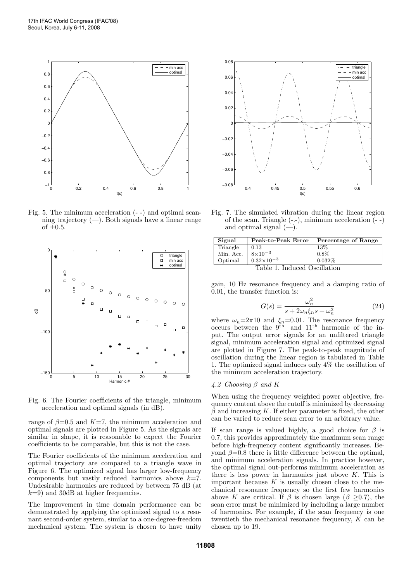

Fig. 5. The minimum acceleration (- -) and optimal scanning trajectory  $(-)$ . Both signals have a linear range of  $\pm 0.5$ .



Fig. 6. The Fourier coefficients of the triangle, minimum acceleration and optimal signals (in dB).

range of  $\beta$ =0.5 and K=7, the minimum acceleration and optimal signals are plotted in Figure 5. As the signals are similar in shape, it is reasonable to expect the Fourier coefficients to be comparable, but this is not the case.

The Fourier coefficients of the minimum acceleration and optimal trajectory are compared to a triangle wave in Figure 6. The optimized signal has larger low-frequency components but vastly reduced harmonics above  $k=7$ . Undesirable harmonics are reduced by between 75 dB (at  $k=9$ ) and 30dB at higher frequencies.

The improvement in time domain performance can be demonstrated by applying the optimized signal to a resonant second-order system, similar to a one-degree-freedom mechanical system. The system is chosen to have unity



Fig. 7. The simulated vibration during the linear region of the scan. Triangle (-.-), minimum acceleration (- -) and optimal signal  $(-)$ .

| Signal                       | Peak-to-Peak Error  | Percentage of Range |
|------------------------------|---------------------|---------------------|
| Triangle                     | 0.13                | 13%                 |
| Min. Acc.                    | $8\times10^{-3}$    | 0.8%                |
| Optimal                      | $0.32\times10^{-3}$ | 0.032%              |
| Table 1. Induced Oscillation |                     |                     |

gain, 10 Hz resonance frequency and a damping ratio of 0.01, the transfer function is:

$$
G(s) = \frac{\omega_n^2}{s + 2\omega_n \xi_n s + \omega_n^2}
$$
 (24)

where  $\omega_n=2\pi 10$  and  $\xi_n=0.01$ . The resonance frequency occurs between the  $9<sup>th</sup>$  and  $11<sup>th</sup>$  harmonic of the input. The output error signals for an unfiltered triangle signal, minimum acceleration signal and optimized signal are plotted in Figure 7. The peak-to-peak magnitude of oscillation during the linear region is tabulated in Table 1. The optimized signal induces only 4% the oscillation of the minimum acceleration trajectory.

# 4.2 Choosing  $\beta$  and K

When using the frequency weighted power objective, frequency content above the cutoff is minimized by decreasing  $\beta$  and increasing K. If either parameter is fixed, the other can be varied to reduce scan error to an arbitrary value.

If scan range is valued highly, a good choice for  $\beta$  is 0.7, this provides approximately the maximum scan range before high-frequency content significantly increases. Beyond  $\beta$ =0.8 there is little difference between the optimal, and minimum acceleration signals. In practice however, the optimal signal out-performs minimum acceleration as there is less power in harmonics just above  $K$ . This is important because  $K$  is usually chosen close to the mechanical resonance frequency so the first few harmonics above K are critical. If  $\beta$  is chosen large ( $\beta \geq 0.7$ ), the scan error must be minimized by including a large number of harmonics. For example, if the scan frequency is one twentieth the mechanical resonance frequency, K can be chosen up to 19.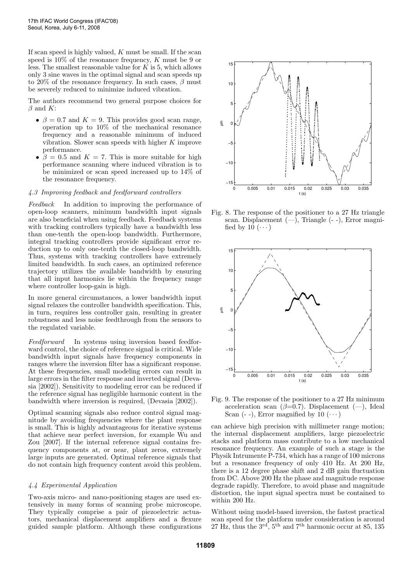If scan speed is highly valued,  $K$  must be small. If the scan speed is 10% of the resonance frequency, K must be 9 or less. The smallest reasonable value for  $K$  is 5, which allows only 3 sine waves in the optimal signal and scan speeds up to 20% of the resonance frequency. In such cases,  $\beta$  must be severely reduced to minimize induced vibration.

The authors recommend two general purpose choices for  $\beta$  and K:

- $\beta = 0.7$  and  $K = 9$ . This provides good scan range, operation up to 10% of the mechanical resonance frequency and a reasonable minimum of induced vibration. Slower scan speeds with higher  $K$  improve performance.
- $\beta = 0.5$  and  $K = 7$ . This is more suitable for high performance scanning where induced vibration is to be minimized or scan speed increased up to 14% of the resonance frequency.

# 4.3 Improving feedback and feedforward controllers

Feedback In addition to improving the performance of open-loop scanners, minimum bandwidth input signals are also beneficial when using feedback. Feedback systems with tracking controllers typically have a bandwidth less than one-tenth the open-loop bandwidth. Furthermore, integral tracking controllers provide significant error reduction up to only one-tenth the closed-loop bandwidth. Thus, systems with tracking controllers have extremely limited bandwidth. In such cases, an optimized reference trajectory utilizes the available bandwidth by ensuring that all input harmonics lie within the frequency range where controller loop-gain is high.

In more general circumstances, a lower bandwidth input signal relaxes the controller bandwidth specification. This, in turn, requires less controller gain, resulting in greater robustness and less noise feedthrough from the sensors to the regulated variable.

Feedforward In systems using inversion based feedforward control, the choice of reference signal is critical. Wide bandwidth input signals have frequency components in ranges where the inversion filter has a significant response. At these frequencies, small modeling errors can result in large errors in the filter response and inverted signal (Devasia [2002]). Sensitivity to modeling error can be reduced if the reference signal has negligible harmonic content in the bandwidth where inversion is required, (Devasia [2002]).

Optimal scanning signals also reduce control signal magnitude by avoiding frequencies where the plant response is small. This is highly advantageous for iterative systems that achieve near perfect inversion, for example Wu and Zou [2007]. If the internal reference signal contains frequency components at, or near, plant zeros, extremely large inputs are generated. Optimal reference signals that do not contain high frequency content avoid this problem.

# 4.4 Experimental Application

Two-axis micro- and nano-positioning stages are used extensively in many forms of scanning probe microscope. They typically comprise a pair of piezoelectric actuators, mechanical displacement amplifiers and a flexure guided sample platform. Although these configurations



Fig. 8. The response of the positioner to a 27 Hz triangle scan. Displacement  $(-)$ , Triangle  $(-)$ , Error magnified by 10  $(\cdots)$ 



Fig. 9. The response of the positioner to a 27 Hz minimum acceleration scan  $(\beta=0.7)$ . Displacement  $(-)$ , Ideal Scan  $(-)$ , Error magnified by 10  $(\cdots)$ 

can achieve high precision with millimeter range motion; the internal displacement amplifiers, large piezoelectric stacks and platform mass contribute to a low mechanical resonance frequency. An example of such a stage is the Physik Intrumente P-734, which has a range of 100 microns but a resonance frequency of only 410 Hz. At 200 Hz, there is a 12 degree phase shift and 2 dB gain fluctuation from DC. Above 200 Hz the phase and magnitude response degrade rapidly. Therefore, to avoid phase and magnitude distortion, the input signal spectra must be contained to within 200 Hz.

Without using model-based inversion, the fastest practical scan speed for the platform under consideration is around 27 Hz, thus the  $3^{\text{rd}}$ ,  $5^{\text{th}}$  and  $7^{\text{th}}$  harmonic occur at 85, 135